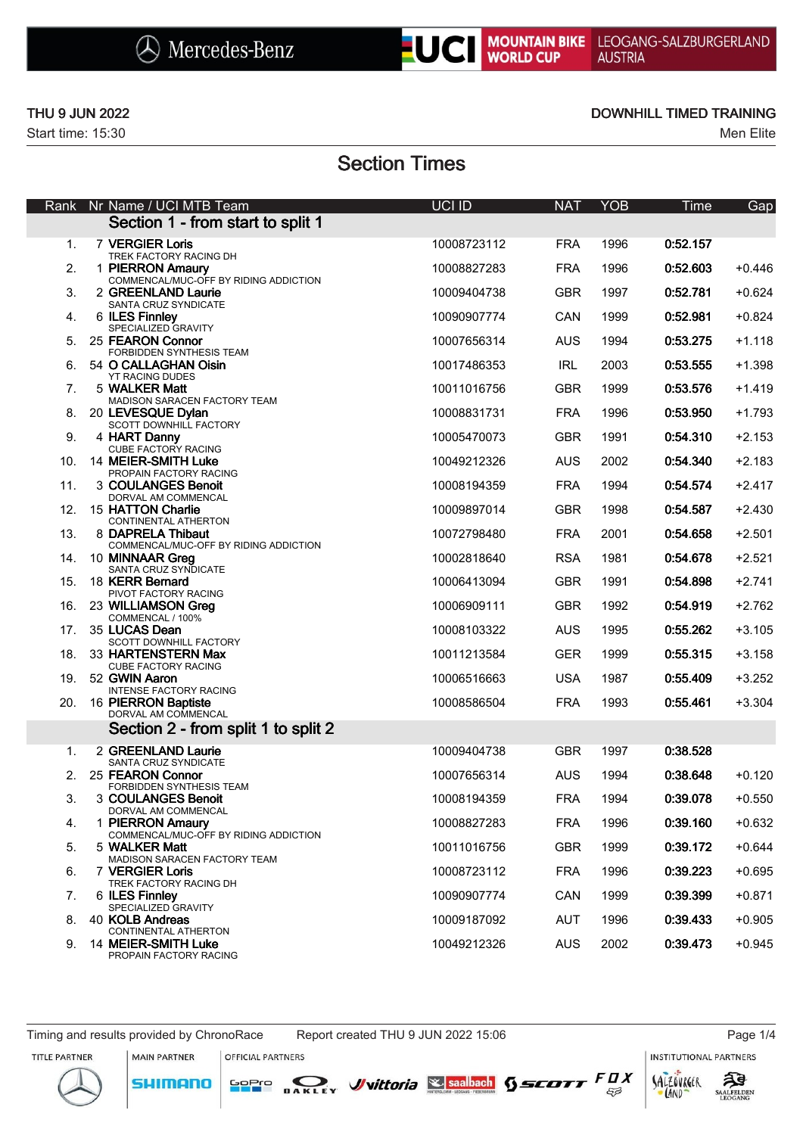



### THU 9 JUN 2022 **DOWNHILL TIMED TRAINING**

# Section Times

| Rank            | Nr Name / UCI MTB Team                                    | UCI ID      | <b>NAT</b> | <b>YOB</b> | <b>Time</b> | Gap      |
|-----------------|-----------------------------------------------------------|-------------|------------|------------|-------------|----------|
|                 | Section 1 - from start to split 1                         |             |            |            |             |          |
| 1.              | 7 VERGIER Loris<br>TREK FACTORY RACING DH                 | 10008723112 | <b>FRA</b> | 1996       | 0:52.157    |          |
| 2.              | 1 PIERRON Amaury<br>COMMENCAL/MUC-OFF BY RIDING ADDICTION | 10008827283 | <b>FRA</b> | 1996       | 0:52.603    | $+0.446$ |
| 3.              | 2 GREENLAND Laurie<br>SANTA CRUZ SYNDICATE                | 10009404738 | <b>GBR</b> | 1997       | 0:52.781    | $+0.624$ |
| 4.              | 6 ILES Finnley                                            | 10090907774 | <b>CAN</b> | 1999       | 0:52.981    | $+0.824$ |
| 5.              | SPECIALIZED GRAVITY<br>25 FEARON Connor                   | 10007656314 | <b>AUS</b> | 1994       | 0:53.275    | $+1.118$ |
| 6.              | FORBIDDEN SYNTHESIS TEAM<br>54 O CALLAGHAN Oisin          | 10017486353 | <b>IRL</b> | 2003       | 0:53.555    | $+1.398$ |
| 7.              | YT RACING DUDES<br>5 WALKER Matt                          | 10011016756 | <b>GBR</b> | 1999       | 0:53.576    | $+1.419$ |
| 8.              | MADISON SARACEN FACTORY TEAM<br>20 LEVESQUE Dylan         | 10008831731 | <b>FRA</b> | 1996       | 0:53.950    | $+1.793$ |
| 9.              | SCOTT DOWNHILL FACTORY<br>4 HART Danny                    | 10005470073 | <b>GBR</b> | 1991       | 0:54.310    | $+2.153$ |
| 10.             | CUBE FACTORY RACING<br>14 MEIER-SMITH Luke                | 10049212326 | <b>AUS</b> | 2002       | 0:54.340    | $+2.183$ |
| 11.             | PROPAIN FACTORY RACING<br>3 COULANGES Benoit              | 10008194359 | <b>FRA</b> | 1994       | 0:54.574    | $+2.417$ |
| 12.             | DORVAL AM COMMENCAL<br>15 HATTON Charlie                  | 10009897014 | <b>GBR</b> | 1998       | 0:54.587    | $+2.430$ |
| 13.             | CONTINENTAL ATHERTON<br>8 DAPRELA Thibaut                 | 10072798480 | <b>FRA</b> | 2001       | 0:54.658    | $+2.501$ |
| 14.             | COMMENCAL/MUC-OFF BY RIDING ADDICTION<br>10 MINNAAR Greg  | 10002818640 | <b>RSA</b> | 1981       | 0:54.678    | $+2.521$ |
| 15.             | SANTA CRUZ SYNDICATE<br>18 KERR Bernard                   | 10006413094 | <b>GBR</b> | 1991       | 0:54.898    | $+2.741$ |
| 16.             | PIVOT FACTORY RACING<br>23 WILLIAMSON Greg                | 10006909111 | <b>GBR</b> | 1992       | 0:54.919    | $+2.762$ |
| 17 <sub>1</sub> | COMMENCAL / 100%<br>35 LUCAS Dean                         | 10008103322 | <b>AUS</b> | 1995       | 0:55.262    | $+3.105$ |
| 18.             | SCOTT DOWNHILL FACTORY<br>33 HARTENSTERN Max              | 10011213584 | <b>GER</b> | 1999       | 0:55.315    | $+3.158$ |
| 19.             | CUBE FACTORY RACING<br>52 GWIN Aaron                      | 10006516663 | <b>USA</b> | 1987       | 0:55.409    | $+3.252$ |
| 20.             | <b>INTENSE FACTORY RACING</b><br>16 PIERRON Baptiste      | 10008586504 | <b>FRA</b> | 1993       | 0:55.461    | $+3.304$ |
|                 | DORVAL AM COMMENCAL                                       |             |            |            |             |          |
|                 | Section 2 - from split 1 to split 2                       |             |            |            |             |          |
| 1.              | 2 GREENLAND Laurie<br>SANTA CRUZ SYNDICATE                | 10009404738 | <b>GBR</b> | 1997       | 0:38.528    |          |
| 2.              | 25 FEARON Connor<br>FORBIDDEN SYNTHESIS TEAM              | 10007656314 | <b>AUS</b> | 1994       | 0:38.648    | $+0.120$ |
| 3.              | 3 COULANGES Benoit<br>DORVAL AM COMMENCAL                 | 10008194359 | <b>FRA</b> | 1994       | 0:39.078    | $+0.550$ |
| 4.              | 1 PIERRON Amaury<br>COMMENCAL/MUC-OFF BY RIDING ADDICTION | 10008827283 | <b>FRA</b> | 1996       | 0:39.160    | $+0.632$ |
| 5.              | 5 WALKER Matt<br>MADISON SARACEN FACTORY TEAM             | 10011016756 | <b>GBR</b> | 1999       | 0:39.172    | $+0.644$ |
| 6.              | 7 VERGIER Loris<br>TREK FACTORY RACING DH                 | 10008723112 | <b>FRA</b> | 1996       | 0:39.223    | $+0.695$ |
| 7.              | 6 ILES Finnley<br>SPECIALIZED GRAVITY                     | 10090907774 | CAN        | 1999       | 0:39.399    | $+0.871$ |
| 8.              | 40 KOLB Andreas<br>CONTINENTAL ATHERTON                   | 10009187092 | AUT        | 1996       | 0:39.433    | $+0.905$ |
| 9.              | 14 MEIER-SMITH Luke<br>PROPAIN FACTORY RACING             | 10049212326 | AUS        | 2002       | 0:39.473    | $+0.945$ |

MAIN PARTNER

**SHIMANO** 

OFFICIAL PARTNERS

SOPIO DAKLEY Vittoria & saabach SSCOTT FUX

**INSTITUTIONAL PARTNERS** 





 $53$ 

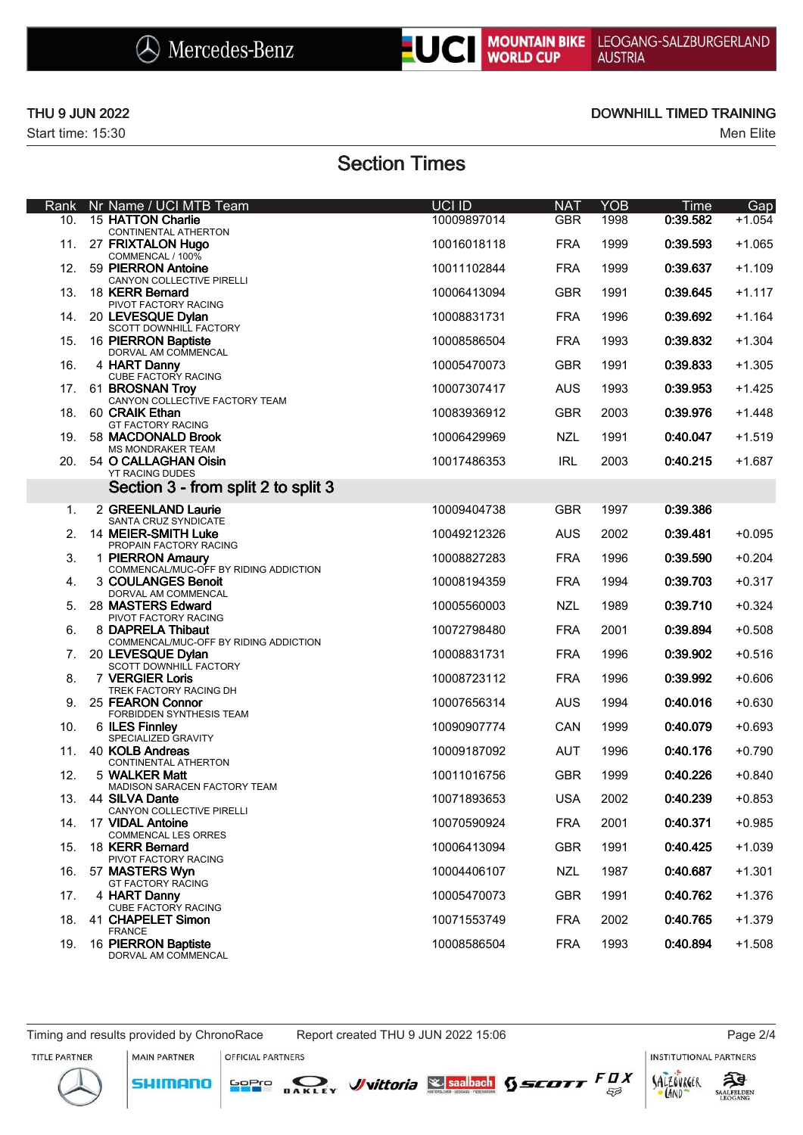



## THU 9 JUN 2022 **DOWNHILL TIMED TRAINING**

## Section Times

|             |                                                             | UCI ID      | <b>NAT</b> | YOB  |                  |                 |
|-------------|-------------------------------------------------------------|-------------|------------|------|------------------|-----------------|
| Rank<br>10. | Nr Name / UCI MTB Team<br><b>15 HATTON Charlie</b>          | 10009897014 | <b>GBR</b> | 1998 | Time<br>0:39.582 | Gap<br>$+1.054$ |
| 11.         | CONTINENTAL ATHERTON<br>27 FRIXTALON Hugo                   | 10016018118 | <b>FRA</b> | 1999 | 0:39.593         | $+1.065$        |
|             | COMMENCAL / 100%<br>12. 59 PIERRON Antoine                  |             |            |      |                  | $+1.109$        |
|             | CANYON COLLECTIVE PIRELLI                                   | 10011102844 | <b>FRA</b> | 1999 | 0:39.637         |                 |
|             | 13. 18 KERR Bernard<br>PIVOT FACTORY RACING                 | 10006413094 | <b>GBR</b> | 1991 | 0:39.645         | $+1.117$        |
|             | 14. 20 LEVESQUE Dylan<br>SCOTT DOWNHILL FACTORY             | 10008831731 | <b>FRA</b> | 1996 | 0:39.692         | $+1.164$        |
| 15.         | 16 PIERRON Baptiste                                         | 10008586504 | <b>FRA</b> | 1993 | 0:39.832         | $+1.304$        |
| 16.         | DORVAL AM COMMENCAL<br>4 HART Danny                         | 10005470073 | <b>GBR</b> | 1991 | 0:39.833         | $+1.305$        |
| 17.         | CUBE FACTORY RACING<br>61 BROSNAN Troy                      | 10007307417 | <b>AUS</b> | 1993 | 0:39.953         | $+1.425$        |
| 18.         | CANYON COLLECTIVE FACTORY TEAM<br>60 CRAIK Ethan            | 10083936912 | <b>GBR</b> | 2003 | 0:39.976         | $+1.448$        |
| 19.         | <b>GT FACTORY RACING</b><br>58 MACDONALD Brook              | 10006429969 | <b>NZL</b> | 1991 | 0:40.047         | $+1.519$        |
|             | <b>MS MONDRAKER TEAM</b>                                    |             |            |      |                  |                 |
| 20.         | 54 O CALLAGHAN Oisin<br>YT RACING DUDES                     | 10017486353 | <b>IRL</b> | 2003 | 0:40.215         | $+1.687$        |
|             | Section 3 - from split 2 to split 3                         |             |            |      |                  |                 |
| 1.          | 2 GREENLAND Laurie<br>SANTA CRUZ SYNDICATE                  | 10009404738 | <b>GBR</b> | 1997 | 0:39.386         |                 |
| 2.          | <b>14 MEIER-SMITH Luke</b><br>PROPAIN FACTORY RACING        | 10049212326 | <b>AUS</b> | 2002 | 0:39.481         | $+0.095$        |
| 3.          | 1 PIERRON Amaury                                            | 10008827283 | <b>FRA</b> | 1996 | 0:39.590         | $+0.204$        |
| 4.          | COMMENCAL/MUC-OFF BY RIDING ADDICTION<br>3 COULANGES Benoit | 10008194359 | <b>FRA</b> | 1994 | 0:39.703         | $+0.317$        |
| 5.          | DORVAL AM COMMENCAL<br>28 MASTERS Edward                    | 10005560003 | <b>NZL</b> | 1989 | 0:39.710         | $+0.324$        |
| 6.          | PIVOT FACTORY RACING<br>8 DAPRELA Thibaut                   | 10072798480 | <b>FRA</b> | 2001 | 0:39.894         | $+0.508$        |
| 7.          | COMMENCAL/MUC-OFF BY RIDING ADDICTION<br>20 LEVESQUE Dylan  | 10008831731 | <b>FRA</b> | 1996 | 0:39.902         | $+0.516$        |
| 8.          | SCOTT DOWNHILL FACTORY<br>7 VERGIER Loris                   | 10008723112 | <b>FRA</b> | 1996 | 0:39.992         | $+0.606$        |
|             | TREK FACTORY RACING DH                                      |             |            |      |                  |                 |
| 9.          | 25 FEARON Connor<br>FORBIDDEN SYNTHESIS TEAM                | 10007656314 | <b>AUS</b> | 1994 | 0:40.016         | $+0.630$        |
| 10.         | 6 ILES Finnley<br>SPECIALIZED GRAVITY                       | 10090907774 | <b>CAN</b> | 1999 | 0:40.079         | $+0.693$        |
| 11.         | 40 KOLB Andreas<br>CONTINENTAL ATHERTON                     | 10009187092 | AUT        | 1996 | 0:40.176         | $+0.790$        |
| 12.         | 5 WALKER Matt                                               | 10011016756 | <b>GBR</b> | 1999 | 0:40.226         | $+0.840$        |
| 13.         | MADISON SARACEN FACTORY TEAM<br>44 SILVA Dante              | 10071893653 | <b>USA</b> | 2002 | 0:40.239         | $+0.853$        |
| 14.         | CANYON COLLECTIVE PIRELLI<br>17 VIDAL Antoine               | 10070590924 | <b>FRA</b> | 2001 | 0:40.371         | $+0.985$        |
| 15.         | <b>COMMENCAL LES ORRES</b><br>18 KERR Bernard               | 10006413094 | <b>GBR</b> | 1991 | 0:40.425         | $+1.039$        |
| 16.         | PIVOT FACTORY RACING<br>57 MASTERS Wyn                      | 10004406107 | <b>NZL</b> | 1987 | 0:40.687         | $+1.301$        |
|             | <b>GT FACTORY RACING</b>                                    |             |            |      |                  |                 |
| 17.         | 4 HART Danny<br>CUBE FACTORY RACING                         | 10005470073 | <b>GBR</b> | 1991 | 0:40.762         | $+1.376$        |
| 18.         | 41 CHAPELET Simon<br><b>FRANCE</b>                          | 10071553749 | <b>FRA</b> | 2002 | 0:40.765         | $+1.379$        |
| 19.         | 16 PIERRON Baptiste<br>DORVAL AM COMMENCAL                  | 10008586504 | <b>FRA</b> | 1993 | 0:40.894         | $+1.508$        |

Timing and results provided by ChronoRace Report created THU 9 JUN 2022 15:06 Page 2/4 MAIN PARTNER

**SHIMANO** 

OFFICIAL PARTNERS

SOPIO DAKLEY Vittoria & saabach SSCOTT FUX

INSTITUTIONAL PARTNERS





SALZOVREER LAND

 $53$ 

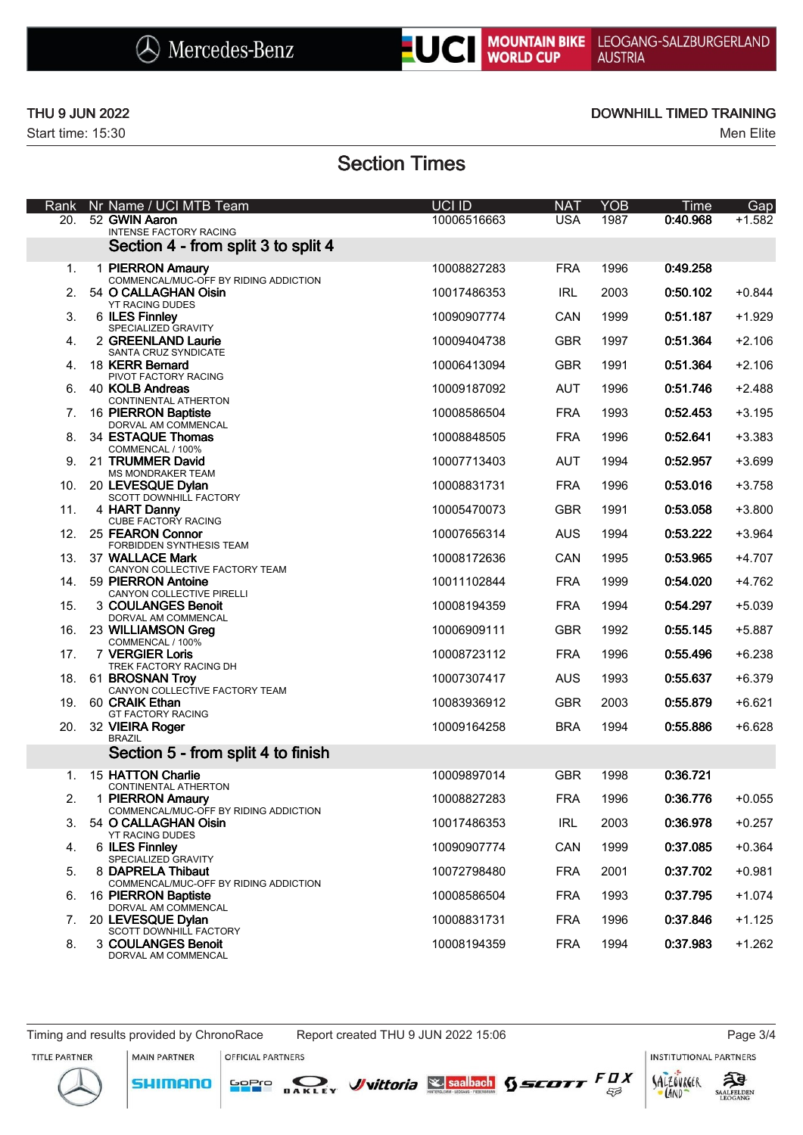



г

## THU 9 JUN 2022 **DOWNHILL TIMED TRAINING**

## Section Times

| Rank | Nr Name / UCI MTB Team                                              | UCI ID      | <b>NAT</b> | <b>YOB</b> | <b>Time</b> | Gap      |
|------|---------------------------------------------------------------------|-------------|------------|------------|-------------|----------|
| 20.  | 52 GWIN Aaron<br><b>INTENSE FACTORY RACING</b>                      | 10006516663 | <b>USA</b> | 1987       | 0:40.968    | $+1.582$ |
|      | Section 4 - from split 3 to split 4                                 |             |            |            |             |          |
| 1.   | 1 PIERRON Amaury<br>COMMENCAL/MUC-OFF BY RIDING ADDICTION           | 10008827283 | <b>FRA</b> | 1996       | 0:49.258    |          |
| 2.   | 54 O CALLAGHAN Oisin<br><b>YT RACING DUDES</b>                      | 10017486353 | <b>IRL</b> | 2003       | 0:50.102    | $+0.844$ |
| 3.   | 6 ILES Finnley<br>SPECIALIZED GRAVITY                               | 10090907774 | <b>CAN</b> | 1999       | 0:51.187    | $+1.929$ |
| 4.   | 2 GREENLAND Laurie<br>SANTA CRUZ SYNDICATE                          | 10009404738 | <b>GBR</b> | 1997       | 0:51.364    | $+2.106$ |
| 4.   | 18 KERR Bernard                                                     | 10006413094 | <b>GBR</b> | 1991       | 0:51.364    | $+2.106$ |
| 6.   | PIVOT FACTORY RACING<br>40 KOLB Andreas                             | 10009187092 | <b>AUT</b> | 1996       | 0:51.746    | $+2.488$ |
| 7.   | CONTINENTAL ATHERTON<br>16 PIERRON Baptiste                         | 10008586504 | <b>FRA</b> | 1993       | 0:52.453    | $+3.195$ |
| 8.   | DORVAL AM COMMENCAL<br>34 ESTAQUE Thomas                            | 10008848505 | <b>FRA</b> | 1996       | 0:52.641    | $+3.383$ |
| 9.   | COMMENCAL / 100%<br>21 TRUMMER David<br>MS MONDRAKER TEAM           | 10007713403 | <b>AUT</b> | 1994       | 0:52.957    | $+3.699$ |
| 10.  | 20 LEVESQUE Dylan<br>SCOTT DOWNHILL FACTORY                         | 10008831731 | <b>FRA</b> | 1996       | 0:53.016    | $+3.758$ |
| 11.  | 4 HART Danny<br>CUBE FACTORY RACING                                 | 10005470073 | <b>GBR</b> | 1991       | 0:53.058    | $+3.800$ |
| 12.  | 25 FEARON Connor<br>FORBIDDEN SYNTHESIS TEAM                        | 10007656314 | <b>AUS</b> | 1994       | 0:53.222    | $+3.964$ |
|      | 13. 37 WALLACE Mark                                                 | 10008172636 | CAN        | 1995       | 0:53.965    | $+4.707$ |
| 14.  | CANYON COLLECTIVE FACTORY TEAM<br>59 PIERRON Antoine                | 10011102844 | <b>FRA</b> | 1999       | 0:54.020    | $+4.762$ |
| 15.  | CANYON COLLECTIVE PIRELLI<br>3 COULANGES Benoit                     | 10008194359 | <b>FRA</b> | 1994       | 0:54.297    | $+5.039$ |
| 16.  | DORVAL AM COMMENCAL<br>23 WILLIAMSON Greg                           | 10006909111 | <b>GBR</b> | 1992       | 0:55.145    | $+5.887$ |
| 17.  | COMMENCAL / 100%<br>7 VERGIER Loris<br>TREK FACTORY RACING DH       | 10008723112 | <b>FRA</b> | 1996       | 0:55.496    | $+6.238$ |
| 18.  | 61 BROSNAN Troy                                                     | 10007307417 | <b>AUS</b> | 1993       | 0:55.637    | $+6.379$ |
| 19.  | CANYON COLLECTIVE FACTORY TEAM<br>60 CRAIK Ethan                    | 10083936912 | <b>GBR</b> | 2003       | 0:55.879    | $+6.621$ |
| 20.  | <b>GT FACTORY RACING</b><br>32 VIEIRA Roger                         | 10009164258 | <b>BRA</b> | 1994       | 0:55.886    | $+6.628$ |
|      | <b>BRAZIL</b><br>Section 5 - from split 4 to finish                 |             |            |            |             |          |
| 1.   | 15 HATTON Charlie                                                   | 10009897014 | <b>GBR</b> | 1998       | 0:36.721    |          |
| 2.   | CONTINENTAL ATHERTON<br>1 PIERRON Amaury                            | 10008827283 | <b>FRA</b> | 1996       | 0:36.776    | $+0.055$ |
| 3.   | COMMENCAL/MUC-OFF BY RIDING ADDICTION<br>54 O CALLAGHAN Oisin       | 10017486353 | <b>IRL</b> | 2003       | 0:36.978    | $+0.257$ |
| 4.   | <b>YT RACING DUDES</b><br>6 ILES Finnley                            | 10090907774 | CAN        | 1999       | 0:37.085    | $+0.364$ |
| 5.   | SPECIALIZED GRAVITY<br>8 DAPRELA Thibaut                            | 10072798480 | <b>FRA</b> | 2001       | 0:37.702    | $+0.981$ |
| 6.   | COMMENCAL/MUC-OFF BY RIDING ADDICTION<br>16 PIERRON Baptiste        | 10008586504 | <b>FRA</b> | 1993       | 0:37.795    | $+1.074$ |
| 7.   | DORVAL AM COMMENCAL<br>20 LEVESQUE Dylan                            | 10008831731 | <b>FRA</b> | 1996       | 0:37.846    | $+1.125$ |
| 8.   | SCOTT DOWNHILL FACTORY<br>3 COULANGES Benoit<br>DORVAL AM COMMENCAL | 10008194359 | <b>FRA</b> | 1994       | 0:37.983    | $+1.262$ |

OFFICIAL PARTNERS

SOPIO DAKLEY Vittoria & saabach SSCOTT FUX

**INSTITUTIONAL PARTNERS** 

ट्रीडे

AALFELDEN

TITLE PARTNER





 $53$